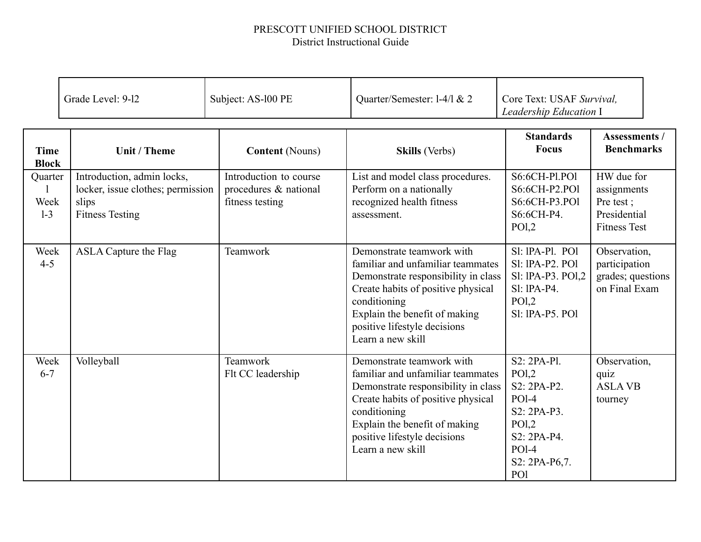## PRESCOTT UNIFIED SCHOOL DISTRICT District Instructional Guide

|                             | Grade Level: 9-12                                                                                  | Subject: AS-100 PE                                                 | Quarter/Semester: 1-4/1 & 2                                                                                                                                                                                                                       | Core Text: USAF Survival.<br>Leadership Education I                                                                         |                                                                               |
|-----------------------------|----------------------------------------------------------------------------------------------------|--------------------------------------------------------------------|---------------------------------------------------------------------------------------------------------------------------------------------------------------------------------------------------------------------------------------------------|-----------------------------------------------------------------------------------------------------------------------------|-------------------------------------------------------------------------------|
| <b>Time</b><br><b>Block</b> | Unit / Theme                                                                                       | <b>Content</b> (Nouns)                                             | <b>Skills</b> (Verbs)                                                                                                                                                                                                                             | <b>Standards</b><br><b>Focus</b>                                                                                            | <b>Assessments /</b><br><b>Benchmarks</b>                                     |
| Quarter<br>Week<br>$1-3$    | Introduction, admin locks,<br>locker, issue clothes; permission<br>slips<br><b>Fitness Testing</b> | Introduction to course<br>procedures & national<br>fitness testing | List and model class procedures.<br>Perform on a nationally<br>recognized health fitness<br>assessment.                                                                                                                                           | S6:6CH-Pl.POl<br>S6:6CH-P2.PO1<br>S6:6CH-P3.PO1<br>S6:6CH-P4.<br>PO <sub>1,2</sub>                                          | HW due for<br>assignments<br>Pre test;<br>Presidential<br><b>Fitness Test</b> |
| Week<br>$4 - 5$             | <b>ASLA Capture the Flag</b>                                                                       | Teamwork                                                           | Demonstrate teamwork with<br>familiar and unfamiliar teammates<br>Demonstrate responsibility in class<br>Create habits of positive physical<br>conditioning<br>Explain the benefit of making<br>positive lifestyle decisions<br>Learn a new skill | SI: IPA-PI. POI<br>SI: IPA-P2, POI<br>Sl: IPA-P3. POI,2<br>$SI: IPA-P4.$<br>PO <sub>1,2</sub><br>SI: IPA-P5. POI            | Observation,<br>participation<br>grades; questions<br>on Final Exam           |
| Week<br>$6 - 7$             | Volleyball                                                                                         | Teamwork<br>Flt CC leadership                                      | Demonstrate teamwork with<br>familiar and unfamiliar teammates<br>Demonstrate responsibility in class<br>Create habits of positive physical<br>conditioning<br>Explain the benefit of making<br>positive lifestyle decisions<br>Learn a new skill | S2: 2PA-Pl.<br>PO1,2<br>$S2: 2PA-P2$ .<br>$POI-4$<br>S2: 2PA-P3.<br>PO1,2<br>S2: 2PA-P4.<br>$POI-4$<br>S2: 2PA-P6,7.<br>PO1 | Observation,<br>quiz<br><b>ASLAVB</b><br>tourney                              |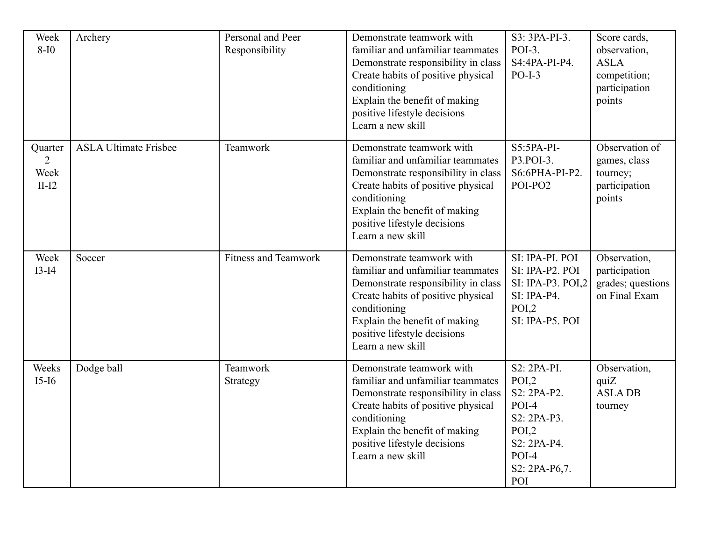| Week<br>$8-I0$                                            | Archery                      | Personal and Peer<br>Responsibility | Demonstrate teamwork with<br>familiar and unfamiliar teammates<br>Demonstrate responsibility in class<br>Create habits of positive physical<br>conditioning<br>Explain the benefit of making<br>positive lifestyle decisions<br>Learn a new skill | S3: 3PA-PI-3.<br>POI-3.<br>S4:4PA-PI-P4.<br>$PO-I-3$                                                                              | Score cards,<br>observation,<br><b>ASLA</b><br>competition;<br>participation<br>points |
|-----------------------------------------------------------|------------------------------|-------------------------------------|---------------------------------------------------------------------------------------------------------------------------------------------------------------------------------------------------------------------------------------------------|-----------------------------------------------------------------------------------------------------------------------------------|----------------------------------------------------------------------------------------|
| Quarter<br>$\mathcal{D}_{\mathcal{L}}$<br>Week<br>$II-I2$ | <b>ASLA Ultimate Frisbee</b> | Teamwork                            | Demonstrate teamwork with<br>familiar and unfamiliar teammates<br>Demonstrate responsibility in class<br>Create habits of positive physical<br>conditioning<br>Explain the benefit of making<br>positive lifestyle decisions<br>Learn a new skill | $S5:5PA-PI-$<br>P3.POI-3.<br>S6:6PHA-PI-P2.<br>POI-PO2                                                                            | Observation of<br>games, class<br>tourney;<br>participation<br>points                  |
| Week<br>$I3-I4$                                           | Soccer                       | <b>Fitness and Teamwork</b>         | Demonstrate teamwork with<br>familiar and unfamiliar teammates<br>Demonstrate responsibility in class<br>Create habits of positive physical<br>conditioning<br>Explain the benefit of making<br>positive lifestyle decisions<br>Learn a new skill | SI: IPA-PI. POI<br>SI: IPA-P2. POI<br>SI: IPA-P3. POI,2<br>SI: IPA-P4.<br>POI,2<br>SI: IPA-P5. POI                                | Observation,<br>participation<br>grades; questions<br>on Final Exam                    |
| Weeks<br>$I5-I6$                                          | Dodge ball                   | Teamwork<br>Strategy                | Demonstrate teamwork with<br>familiar and unfamiliar teammates<br>Demonstrate responsibility in class<br>Create habits of positive physical<br>conditioning<br>Explain the benefit of making<br>positive lifestyle decisions<br>Learn a new skill | S2: 2PA-PI.<br>POI <sub>2</sub><br>S2: 2PA-P2.<br>$POI-4$<br>S2: 2PA-P3.<br>POI,2<br>S2: 2PA-P4.<br>POI-4<br>S2: 2PA-P6,7.<br>POI | Observation,<br>quiZ<br><b>ASLADB</b><br>tourney                                       |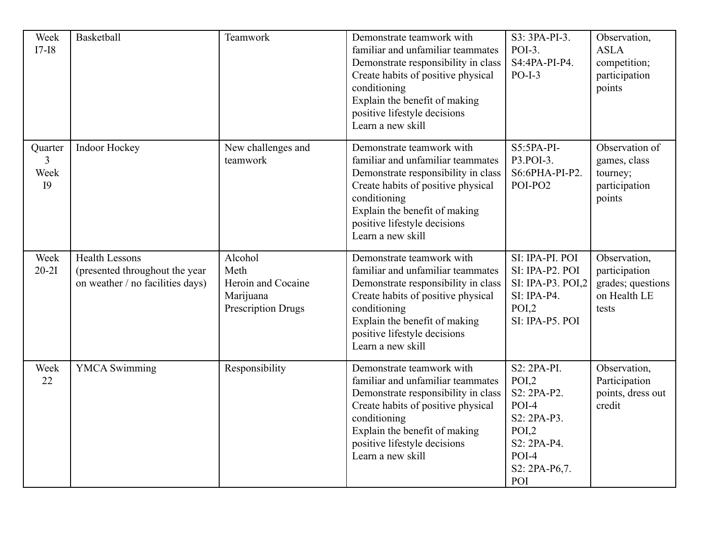| Week<br>$I7-I8$                                   | <b>Basketball</b>                                                                           | Teamwork                                                                        | Demonstrate teamwork with<br>familiar and unfamiliar teammates<br>Demonstrate responsibility in class<br>Create habits of positive physical<br>conditioning<br>Explain the benefit of making<br>positive lifestyle decisions<br>Learn a new skill | S3: 3PA-PI-3.<br>POI-3.<br>S4:4PA-PI-P4.<br>$PO-I-3$                                                                            | Observation,<br><b>ASLA</b><br>competition;<br>participation<br>points      |
|---------------------------------------------------|---------------------------------------------------------------------------------------------|---------------------------------------------------------------------------------|---------------------------------------------------------------------------------------------------------------------------------------------------------------------------------------------------------------------------------------------------|---------------------------------------------------------------------------------------------------------------------------------|-----------------------------------------------------------------------------|
| Quarter<br>$\mathbf{3}$<br>Week<br>I <sub>9</sub> | Indoor Hockey                                                                               | New challenges and<br>teamwork                                                  | Demonstrate teamwork with<br>familiar and unfamiliar teammates<br>Demonstrate responsibility in class<br>Create habits of positive physical<br>conditioning<br>Explain the benefit of making<br>positive lifestyle decisions<br>Learn a new skill | $S5:5PA-PI-$<br>P3.POI-3.<br>S6:6PHA-PI-P2.<br>POI-PO2                                                                          | Observation of<br>games, class<br>tourney;<br>participation<br>points       |
| Week<br>$20-21$                                   | <b>Health Lessons</b><br>(presented throughout the year<br>on weather / no facilities days) | Alcohol<br>Meth<br>Heroin and Cocaine<br>Marijuana<br><b>Prescription Drugs</b> | Demonstrate teamwork with<br>familiar and unfamiliar teammates<br>Demonstrate responsibility in class<br>Create habits of positive physical<br>conditioning<br>Explain the benefit of making<br>positive lifestyle decisions<br>Learn a new skill | SI: IPA-PI. POI<br>SI: IPA-P2. POI<br>SI: IPA-P3. POI,2<br>$SI$ : IPA-P4.<br>POI,2<br>SI: IPA-P5. POI                           | Observation,<br>participation<br>grades; questions<br>on Health LE<br>tests |
| Week<br>22                                        | <b>YMCA</b> Swimming                                                                        | Responsibility                                                                  | Demonstrate teamwork with<br>familiar and unfamiliar teammates<br>Demonstrate responsibility in class<br>Create habits of positive physical<br>conditioning<br>Explain the benefit of making<br>positive lifestyle decisions<br>Learn a new skill | S2: 2PA-PI.<br>POI <sub>2</sub><br>S2: 2PA-P2.<br>POI-4<br>S2: 2PA-P3.<br>POI,2<br>S2: 2PA-P4.<br>POI-4<br>S2: 2PA-P6,7.<br>POI | Observation,<br>Participation<br>points, dress out<br>credit                |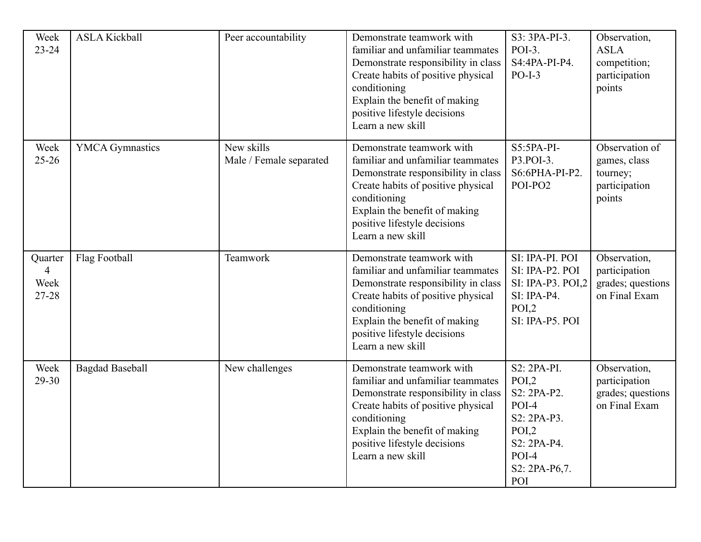| Week<br>$23 - 24$                          | <b>ASLA Kickball</b>   | Peer accountability                   | Demonstrate teamwork with<br>familiar and unfamiliar teammates<br>Demonstrate responsibility in class<br>Create habits of positive physical<br>conditioning<br>Explain the benefit of making<br>positive lifestyle decisions<br>Learn a new skill | S3: 3PA-PI-3.<br>$POI-3$ .<br>$S4:4PA-PI-P4.$<br>$PO-I-3$                                                                       | Observation,<br><b>ASLA</b><br>competition;<br>participation<br>points |
|--------------------------------------------|------------------------|---------------------------------------|---------------------------------------------------------------------------------------------------------------------------------------------------------------------------------------------------------------------------------------------------|---------------------------------------------------------------------------------------------------------------------------------|------------------------------------------------------------------------|
| Week<br>$25 - 26$                          | <b>YMCA</b> Gymnastics | New skills<br>Male / Female separated | Demonstrate teamwork with<br>familiar and unfamiliar teammates<br>Demonstrate responsibility in class<br>Create habits of positive physical<br>conditioning<br>Explain the benefit of making<br>positive lifestyle decisions<br>Learn a new skill | $S5:5PA-PI-$<br>P3.POI-3.<br>S6:6PHA-PI-P2.<br>POI-PO2                                                                          | Observation of<br>games, class<br>tourney;<br>participation<br>points  |
| Quarter<br>$\overline{4}$<br>Week<br>27-28 | Flag Football          | Teamwork                              | Demonstrate teamwork with<br>familiar and unfamiliar teammates<br>Demonstrate responsibility in class<br>Create habits of positive physical<br>conditioning<br>Explain the benefit of making<br>positive lifestyle decisions<br>Learn a new skill | SI: IPA-PI. POI<br>SI: IPA-P2. POI<br>SI: IPA-P3. POI,2<br>$SI$ : IPA-P4.<br>POI,2<br>SI: IPA-P5. POI                           | Observation,<br>participation<br>grades; questions<br>on Final Exam    |
| Week<br>29-30                              | <b>Bagdad Baseball</b> | New challenges                        | Demonstrate teamwork with<br>familiar and unfamiliar teammates<br>Demonstrate responsibility in class<br>Create habits of positive physical<br>conditioning<br>Explain the benefit of making<br>positive lifestyle decisions<br>Learn a new skill | S2: 2PA-PI.<br>POI <sub>2</sub><br>S2: 2PA-P2.<br>POI-4<br>S2: 2PA-P3.<br>POI,2<br>S2: 2PA-P4.<br>POI-4<br>S2: 2PA-P6,7.<br>POI | Observation,<br>participation<br>grades; questions<br>on Final Exam    |